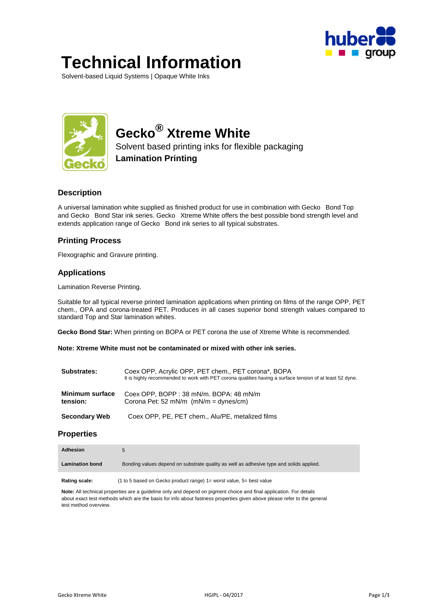

# **Technical Information**

Solvent-based Liquid Systems | Opaque White Inks



# **Gecko® Xtreme White**

Solvent based printing inks for flexible packaging **Lamination Printing** 

# **Description**

A universal lamination white supplied as finished product for use in combination with Gecko® Bond Top and Gecko® Bond Star ink series. Gecko® Xtreme White offers the best possible bond strength level and extends application range of Gecko® Bond ink series to all typical substrates.

# **Printing Process**

Flexographic and Gravure printing.

# **Applications**

Lamination Reverse Printing.

Suitable for all typical reverse printed lamination applications when printing on films of the range OPP, PET chem., OPA and corona-treated PET. Produces in all cases superior bond strength values compared to standard Top and Star lamination whites.

**Gecko Bond Star:** When printing on BOPA or PET corona the use of Xtreme White is recommended.

**Note: Xtreme White must not be contaminated or mixed with other ink series.** 

| Substrates:                 | Coex OPP, Acrylic OPP, PET chem., PET corona*, BOPA<br>It is highly recommended to work with PET corona qualities having a surface tension of at least 52 dyne. |  |
|-----------------------------|-----------------------------------------------------------------------------------------------------------------------------------------------------------------|--|
| Minimum surface<br>tension: | Coex OPP, BOPP: 38 mN/m. BOPA: 48 mN/m<br>Corona Pet: 52 mN/m $(mN/m = dynes/cm)$                                                                               |  |
| <b>Secondary Web</b>        | Coex OPP, PE, PET chem., Alu/PE, metalized films                                                                                                                |  |

#### **Properties**

| Adhesion               |                                                                                             |
|------------------------|---------------------------------------------------------------------------------------------|
| <b>Lamination bond</b> | Bonding values depend on substrate quality as well as adhesive type and solids applied.     |
| Rating scale:          | $(1 \text{ to } 5 \text{ based on}$ Gecko product range) $1 =$ worst value $5 =$ best value |

**Rating scale:** (1 to 5 based on Gecko product range) 1= worst value, 5= best value

**Note:** All technical properties are a guideline only and depend on pigment choice and final application. For details about exact test methods which are the basis for info about fastness properties given above please refer to the general test method overview.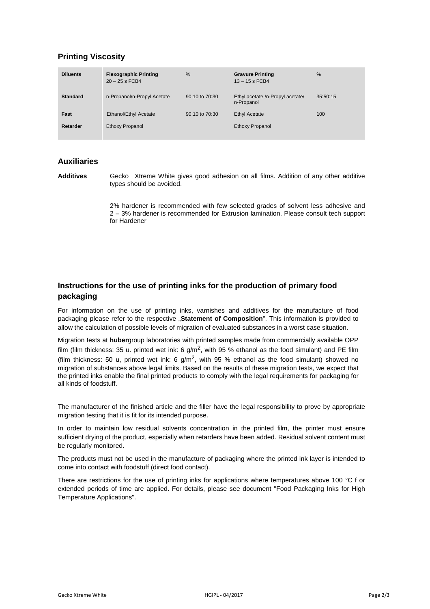# **Printing Viscosity**

| <b>Diluents</b> | <b>Flexographic Printing</b><br>$20 - 25$ s FCB4 | %              | <b>Gravure Printing</b><br>$13 - 15$ s FCB4    | $\frac{9}{6}$ |
|-----------------|--------------------------------------------------|----------------|------------------------------------------------|---------------|
| <b>Standard</b> | n-Propanol/n-Propyl Acetate                      | 90:10 to 70:30 | Ethyl acetate /n-Propyl acetate/<br>n-Propanol | 35:50:15      |
| Fast            | Ethanol/Ethyl Acetate                            | 90:10 to 70:30 | <b>Ethyl Acetate</b>                           | 100           |
| Retarder        | <b>Ethoxy Propanol</b>                           |                | <b>Ethoxy Propanol</b>                         |               |

#### **Auxiliaries**

Additives Gecko<sup>®</sup> Xtreme White gives good adhesion on all films. Addition of any other additive types should be avoided.

> 2% hardener is recommended with few selected grades of solvent less adhesive and 2 – 3% hardener is recommended for Extrusion lamination. Please consult tech support for Hardener

# **Instructions for the use of printing inks for the production of primary food packaging**

For information on the use of printing inks, varnishes and additives for the manufacture of food packaging please refer to the respective "Statement of Composition". This information is provided to allow the calculation of possible levels of migration of evaluated substances in a worst case situation.

Migration tests at **huber**group laboratories with printed samples made from commercially available OPP film (film thickness: 35 u. printed wet ink: 6 g/m<sup>2</sup>, with 95 % ethanol as the food simulant) and PE film (film thickness: 50 u, printed wet ink: 6  $g/m^2$ , with 95 % ethanol as the food simulant) showed no migration of substances above legal limits. Based on the results of these migration tests, we expect that the printed inks enable the final printed products to comply with the legal requirements for packaging for all kinds of foodstuff.

The manufacturer of the finished article and the filler have the legal responsibility to prove by appropriate migration testing that it is fit for its intended purpose.

In order to maintain low residual solvents concentration in the printed film, the printer must ensure sufficient drying of the product, especially when retarders have been added. Residual solvent content must be regularly monitored.

The products must not be used in the manufacture of packaging where the printed ink layer is intended to come into contact with foodstuff (direct food contact).

There are restrictions for the use of printing inks for applications where temperatures above 100 °C f or extended periods of time are applied. For details, please see document "Food Packaging Inks for High Temperature Applications".